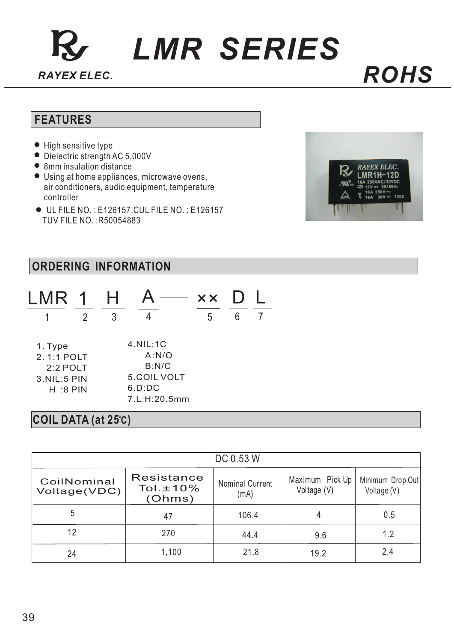# *LMR SERIES*

#### **FEATURES**

- $\bullet$  High sensitive type
- Dielectric strength AC 5,000V
- 8mm insulation distance
- Using at home appliances, microwave ovens, air conditioners, audio equipment, temperature controller
- UL FILE NO. : E126157,CUL FILE NO. : E126157 TUV FILE NO. :R50054883



#### **ORDERING INFORMATION**

|         |  | LMR 1 H A — xx D L |   |  |
|---------|--|--------------------|---|--|
|         |  |                    | h |  |
| 1. Type |  | $4.$ NIL: $1C$     |   |  |

| A: N/O       |
|--------------|
| B:N/C        |
| 5.COIL VOLT  |
| 6.D:D        |
| 7 L:H:20.5mm |
|              |

#### **COIL DATA (at 25 ) C**

|                             |                                      | DC 0.53 W               |                                |                                 |
|-----------------------------|--------------------------------------|-------------------------|--------------------------------|---------------------------------|
| CoilNominal<br>Voltage(VDC) | Resistance<br>Tol. $±10\%$<br>(Ohms) | Nominal Current<br>(mA) | Maximum Pick Up<br>Voltage (V) | Minimum Drop Out<br>Voltage (V) |
| 5                           | 47                                   | 106.4                   |                                | 0.5                             |
| 12                          | 270                                  | 44.4                    | 9.6                            | 1.2                             |
| 24                          | 1,100                                | 21.8                    | 19.2                           | 2.4                             |